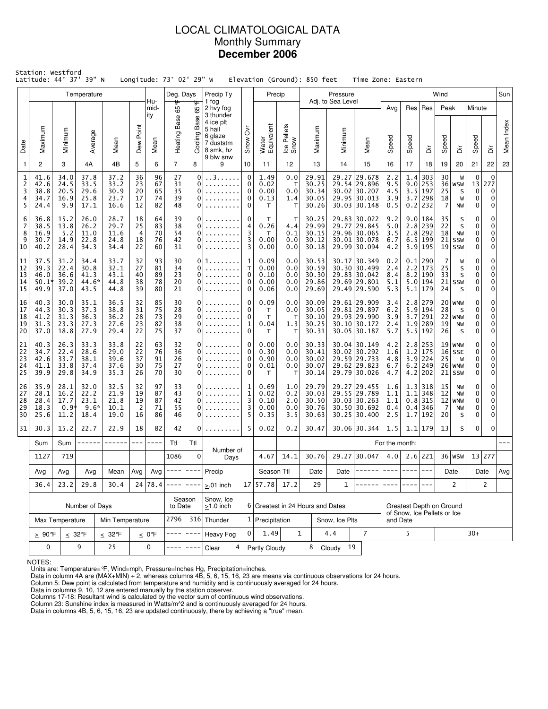# LOCAL CLIMATOLOGICAL DATA Monthly Summary **December 2006**

|                                        | Station: Westford<br>Latitude: 44° 37' 39" N |                                                                                                                      |                                        |                                      |                                           |                            | Longitude: $73^\circ$ 02' 29" W |                                 | Elevation (Ground): 850 feet                                                                    |                                                                |                                   |                                        |                                                                                                                           |                                                                                                                              | Time Zone: Eastern                                                             |                                                         |                   |                                                                 |                                         |                                                     |                                                      |                                             |            |
|----------------------------------------|----------------------------------------------|----------------------------------------------------------------------------------------------------------------------|----------------------------------------|--------------------------------------|-------------------------------------------|----------------------------|---------------------------------|---------------------------------|-------------------------------------------------------------------------------------------------|----------------------------------------------------------------|-----------------------------------|----------------------------------------|---------------------------------------------------------------------------------------------------------------------------|------------------------------------------------------------------------------------------------------------------------------|--------------------------------------------------------------------------------|---------------------------------------------------------|-------------------|-----------------------------------------------------------------|-----------------------------------------|-----------------------------------------------------|------------------------------------------------------|---------------------------------------------|------------|
|                                        |                                              |                                                                                                                      | Temperature                            |                                      |                                           | Hu-                        | Deg. Days<br>₩                  |                                 | Precip Ty<br>1 fog                                                                              |                                                                | Precip                            |                                        |                                                                                                                           | Pressure<br>Adj. to Sea Level                                                                                                |                                                                                |                                                         |                   |                                                                 | Wind                                    |                                                     |                                                      |                                             | Sun        |
| Date                                   | Maximum                                      | Minimum                                                                                                              | Average                                | Mean                                 | Dew Point                                 | mid-<br>ity<br>Mean        | 65<br><b>Heating Base</b>       | 65°F<br>Base<br>Cooling I       | 2 hvy fog<br>3 thunder<br>4 ice plt<br>5 hail<br>6 glaze<br>7 duststm<br>8 smk, hz<br>9 blw snw | $\overline{\delta}$<br>Snow                                    | Water<br>Equivalent               | Ice Pellets<br>Snow                    | Maximum                                                                                                                   | Minimum                                                                                                                      | Mean                                                                           | Avg<br>Speed                                            | Speed             | Res   Res<br>à                                                  | Peak<br>Speed                           | à                                                   | Minute<br>Speed                                      | ă                                           | Mean Index |
| $\mathbf{1}$                           | 2                                            | 3                                                                                                                    | 4A                                     | 4B                                   | 5                                         | 6                          | $\overline{7}$                  | 8                               | 9                                                                                               | 10                                                             | 11                                | $12 \,$                                | 13                                                                                                                        | 14                                                                                                                           | 15                                                                             | 16                                                      | 17                | 18                                                              | 19                                      | 20                                                  | 21                                                   | 22                                          | 23         |
| $\mathbf 1$<br>$\frac{2}{3}$<br>4<br>5 | 41.6<br>42.6<br>38.8<br>34.7<br>24.4         | 34.0<br>24.5<br>20.5<br>16.9<br>9.9                                                                                  | 37.8<br>33.5<br>29.6<br>25.8<br>17.1   | 37.2<br>33.2<br>30.9<br>23.7<br>16.6 | 36<br>23<br>20<br>17<br>12                | 96<br>67<br>65<br>74<br>82 | 27<br>31<br>35<br>39<br>48      | $\mathbf 0$<br>0<br>0<br>0<br>0 | . . 3<br>.                                                                                      | $\mathbf 0$<br>0<br>0<br>0<br>0                                |                                   | 0.0<br>т<br>0.0<br>1.4<br>т            | 29.91<br>29.27 29.678<br>30.25<br>29.54 29.896<br>30.34<br>30.02 30.207<br>30.05<br>29.95 30.013<br>30.26<br>30.03 30.148 |                                                                                                                              |                                                                                | 2.2<br>9.5<br>4.5<br>3.9<br>0.5                         | 9.0<br>3.7        | $1.4$ 303<br>253<br>3.5 197<br>298<br>$0.2$  232                | 30<br>36<br>25<br>18<br>7               | W<br>WSW<br>S<br>W<br>NW                            | $\mathbf 0$<br>13<br>$\mathbf 0$<br>0<br>$\mathbf 0$ | $\mathbf 0$<br>277<br>$\mathbf 0$<br>0<br>0 |            |
| 6<br>7<br>8<br>9<br>10                 | 36.8<br>38.5<br>16.9<br>30.7<br>40.2         | 15.2<br>13.8<br>5.2<br>14.9<br>28.4                                                                                  | 26.0<br>26.2<br>11.0<br>22.8<br>34.3   | 28.7<br>29.7<br>11.6<br>24.8<br>34.4 | 18<br>25<br>4<br>18<br>22                 | 64<br>83<br>70<br>76<br>60 | 39<br>38<br>54<br>42<br>31      | 0<br>0<br>0                     |                                                                                                 | 0<br>4<br>0.26<br>3<br>3<br>0.00<br>3<br>0.00                  |                                   | т<br>4.4<br>0.1<br>0.0<br>0.0          |                                                                                                                           | 30.25<br>29.83 30.022<br>29.99<br>29.77<br>29.845<br>30.15<br>29.96 30.065<br>30.12<br>30.01 30.078<br>30.18<br>29.99 30.094 |                                                                                | 9.2<br>5.0<br>3.5<br>6.7<br>4.2                         | 9.0<br>2.8<br>2.8 | 184<br>239<br>292<br>6.5 199<br>3.9 195                         | 35<br>22<br>18<br>21<br>19 <sup>1</sup> | S<br>S<br>NW<br>SSW<br><b>SSW</b>                   | 0<br>0<br>0<br>0<br>0                                | 0<br>0<br>0<br>0<br>0                       |            |
| 11<br>12<br>13<br>14<br>15             | 37.5<br>39.3<br>46.0<br>$50.1*$<br>49.9      | 31.2<br>22.4<br>36.6<br>39.2<br>37.0                                                                                 | 34.4<br>30.8<br>41.3<br>44.6*<br>43.5  | 33.7<br>32.1<br>43.1<br>44.8<br>44.8 | 32<br>27<br>40<br>38<br>39                | 93<br>81<br>89<br>78<br>80 | 30<br>34<br>23<br>20<br>21      | 0<br>0<br>0<br>0<br>0           |                                                                                                 | 1<br>0.09<br>0.00<br>T.<br>0<br>0.10<br>0<br>0.00<br>0<br>0.06 |                                   | 0.0<br>0.0<br>0.0<br>0.0<br>0.0        | 30.53<br>30.59<br>30.30<br>29.86<br>29.69                                                                                 |                                                                                                                              | 30.17 30.349<br>30.30 30.499<br>29.83 30.042<br>29.69 29.801<br>29.49 29.590   | 0.2<br>2.4<br>8.4<br>5.1<br>5.3                         | 2.2               | $0.1$   290<br>173<br>$8.2$   190<br>$5.0$ 194<br>$5.1$ 179     | 7<br>25<br>33<br>24                     | W<br>S<br>S<br>$21$ SSW<br>S                        | 0<br>0<br>$\mathbf 0$<br>0<br>0                      | 0<br>0<br>0<br>0<br>0                       |            |
| 16<br>17<br>18<br>19<br>20             | 40.3<br>44.3<br>41.2<br>31.3<br>37.0         | 30.0<br>30.3<br>31.3<br>23.3<br>18.8                                                                                 | 35.1<br>37.3<br>36.3<br>27.3<br>27.9   | 36.5<br>38.8<br>36.2<br>27.6<br>29.4 | 32<br>31<br>28<br>23<br>22                | 85<br>75<br>73<br>82<br>75 | 30<br>28<br>29<br>38<br>37      | $\Omega$<br>$\Omega$<br>0<br>0  | .                                                                                               | 0<br>0<br>$\mathbf 0$<br>1<br>0                                |                                   | 0.0<br>0.0<br>т<br>1.3<br>$\mathsf{T}$ | 30.09<br>30.05<br>30.10<br>30.25<br>30.31                                                                                 |                                                                                                                              | 29.61 29.909<br>29.81 29.897<br>29.93 29.990<br>30.10 30.172<br>30.05 30.187   | 3.4<br>6.2<br>3.9<br>2.4<br>5.7                         | 3.7               | $2.8$   279<br>$5.9$   194<br>291<br>$1.9$   289<br>$5.5$   192 | 28<br>19<br>26                          | $20$ WNW<br>S<br>$22$ WNW<br>NW<br>S                | 0<br>0<br>0<br>0<br>0                                | 0<br>0<br>0<br>0<br>0                       |            |
| 21<br>22<br>23<br>24<br>25             | 40.3<br>34.7<br>42.6<br>41.1<br>39.9         | 26.3<br>22.4<br>33.7<br>33.8<br>29.8                                                                                 | 33.3<br>28.6<br>38.1<br>37.4<br>34.9   | 33.8<br>29.0<br>39.6<br>37.6<br>35.3 | 22<br>22<br>37<br>30<br>26                | 63<br>76<br>91<br>75<br>70 | 32<br>36<br>26<br>27<br>30      | 0<br>0<br>0<br>0<br>0           |                                                                                                 | 0<br>0<br>0<br>0<br>0                                          | 0.00<br>0.30<br>0.90<br>0.01<br>Т | 0.0<br>0.0<br>0.0<br>0.0<br>т          | 30.33<br>30.41<br>30.02<br>30.07<br>30.14                                                                                 |                                                                                                                              | 30.04 30.149<br>30.02 30.292<br>29.59 29.733<br>29.62 29.823<br>29.79 30.026   | 4.2<br>1.6<br>4.8<br>6.7<br>4.7                         | 1.2<br>4.2        | $2.8$   253<br>175<br>$3.9$ 224<br>$6.2$ 249<br>202             | 25                                      | $19$ WNW<br>$16$ SSE<br>W<br>$26$   WNW<br>$21$ SSW | 0<br>0<br>0<br>0<br>0                                | 0<br>0<br>0<br>0<br>0                       |            |
| 26<br>27<br>28<br>29<br>30             | 35.9<br>28.1<br>28.4<br>18.3<br>25.6         | 28.1<br>16.2<br>17.7<br>0.9 <sup>1</sup><br>11.2                                                                     | 32.0<br>22.2<br>23.1<br>$9.6*$<br>18.4 | 32.5<br>21.9<br>21.8<br>10.1<br>19.0 | 32<br>19<br>19<br>2<br>16                 | 97<br>87<br>87<br>71<br>86 | 33<br>43<br>42<br>55<br>46      | 0<br>$\Omega$<br>0<br>0         |                                                                                                 | 0.69<br>1<br>1<br>0.02<br>3<br>0.10<br>0.00<br>3<br>5<br>0.35  |                                   | 1.0<br>0.2<br>2.0<br>0.0<br>3.5        | 29.79<br>30.03<br>30.50<br>30.76<br>30.63                                                                                 |                                                                                                                              | 29.27 29.455<br>29.55 29.789<br>30.03 30.263<br>30.50 30.692<br>$30.25$ 30.400 | 1.6<br>1.1<br>1.1<br>0.4<br>2.5                         | 1.1<br>1.7        | $1.3$ 318<br>348<br>$0.8$   315<br>$0.4$ 346<br> 192            | 15<br>12<br>-7<br>20                    | NW<br><b>NW</b><br>$12$ WNW<br>NW<br>S              | 0<br>0<br>0<br>0<br>0                                | 0<br>0<br>0<br>0<br>0                       |            |
| 31                                     | 30.3                                         | 15.2                                                                                                                 | 22.7                                   | 22.9                                 | 18                                        | 82                         | 42                              | 0                               |                                                                                                 | 5                                                              | 0.02                              | 0.2                                    | 30.47                                                                                                                     |                                                                                                                              | 30.06 30.344                                                                   | 1.5                                                     |                   | $1.1$   179                                                     | 13                                      | s                                                   | 0                                                    | 0                                           |            |
|                                        | Sum                                          | Sum                                                                                                                  |                                        |                                      | $---$<br>$---$<br>Ttl<br>Ttl<br>Number of |                            |                                 |                                 |                                                                                                 |                                                                |                                   |                                        |                                                                                                                           |                                                                                                                              |                                                                                | For the month:                                          |                   |                                                                 |                                         |                                                     |                                                      |                                             |            |
|                                        | 1127                                         | 719                                                                                                                  |                                        |                                      |                                           |                            | 1086                            | $\Omega$                        | Days                                                                                            |                                                                |                                   | 14.1                                   | 30.76                                                                                                                     |                                                                                                                              | 29.27 30.047                                                                   | 4.0                                                     |                   | 2.6 221                                                         |                                         | $36 $ WSW                                           | 13 277                                               |                                             |            |
|                                        | Avg                                          | Avg<br>Avg $\vert$ ---- $\vert$<br>Avg<br>Avg<br>Mean<br>$- - - - -$<br>24 78.4<br>23.2<br>29.8<br>---- ----<br>30.4 |                                        |                                      |                                           |                            | Precip                          |                                 | Season Ttl                                                                                      |                                                                | Date                              | Date $ $                               | $------$                                                                                                                  | $- - - -$                                                                                                                    | $- - - -$                                                                      | $---$                                                   |                   | Date                                                            | Date                                    |                                                     | Avg                                                  |                                             |            |
|                                        | 36.4                                         |                                                                                                                      |                                        |                                      |                                           |                            |                                 |                                 | $> 01$ inch                                                                                     |                                                                | 17 57.78 17.2                     |                                        | 29                                                                                                                        | $\mathbf{1}$                                                                                                                 |                                                                                |                                                         |                   |                                                                 |                                         | 2                                                   |                                                      | 2                                           |            |
|                                        |                                              |                                                                                                                      | Number of Days                         |                                      |                                           |                            | to Date                         | Season                          | Snow, Ice<br>$\geq$ 1.0 inch                                                                    |                                                                | 6 Greatest in 24 Hours and Dates  |                                        |                                                                                                                           |                                                                                                                              |                                                                                | Greatest Depth on Ground<br>of Snow, Ice Pellets or Ice |                   |                                                                 |                                         |                                                     |                                                      |                                             |            |
|                                        |                                              | Max Temperature                                                                                                      |                                        | Min Temperature                      |                                           |                            | 2796                            |                                 | 316 Thunder                                                                                     |                                                                | 1 Precipitation                   |                                        |                                                                                                                           | Snow, Ice Plts                                                                                                               |                                                                                | and Date                                                |                   |                                                                 |                                         |                                                     |                                                      |                                             |            |
|                                        |                                              | $\geq 90$ °F<br>$\leq 32^{\circ}$ F<br>$\leq 32$ °F<br>$\leq 0$ °F                                                   |                                        |                                      |                                           |                            |                                 | $---$                           | Heavy Fog                                                                                       | $\mathbf{0}$                                                   | 1.49                              |                                        | $\mathbf{1}$                                                                                                              | 4.4                                                                                                                          | $\overline{7}$                                                                 | 5                                                       |                   |                                                                 | $30+$                                   |                                                     |                                                      |                                             |            |
|                                        | 0                                            |                                                                                                                      | 9                                      | 25                                   |                                           | 0                          |                                 |                                 | 4<br>Clear                                                                                      |                                                                | Partly Cloudy                     |                                        |                                                                                                                           | 8 Cloudy 19                                                                                                                  |                                                                                |                                                         |                   |                                                                 |                                         |                                                     |                                                      |                                             |            |

NOTES:

Units are: Temperature=°F, Wind=mph, Pressure=Inches Hg, Precipitation=inches. Data in column 4A are (MAX+MIN) ÷ 2, whereas columns 4B, 5, 6, 15, 16, 23 are means via continuous observations for 24 hours.

Column 5: Dew point is calculated from temperature and humidity and is continuously averaged for 24 hours. Data in columns 9, 10, 12 are entered manually by the station observer.

Columns 17-18: Resultant wind is calculated by the vector sum of continuous wind observations.<br>Column 23: Sunshine index is measured in Watts/m^2 and is continuously averaged for 24 hours.<br>Data in columns 4B, 5, 6, 15, 16,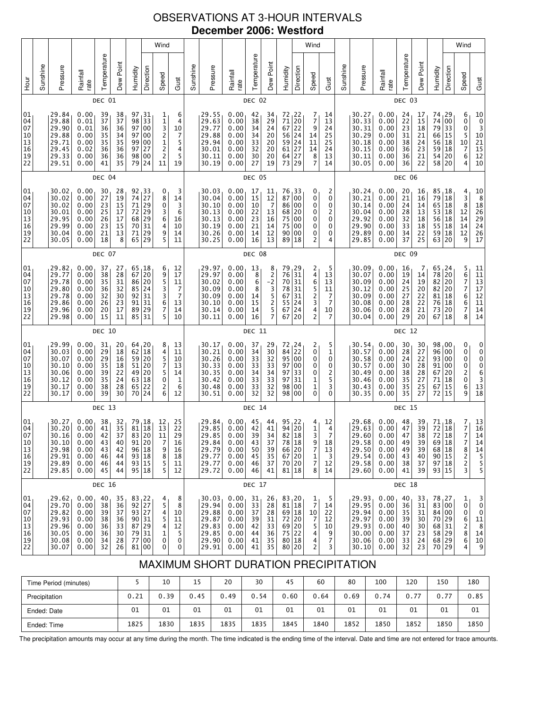# OBSERVATIONS AT 3-HOUR INTERVALS **December 2006: Westford**

|                                                                             |          |                                                                      |                                                              |                                              |                                              |                                                                        |                                                                                                            | Wind                                                                                     |                                                                           |          |                                                                      |                                                              |                                                  |                                                           |                                                                                                                                                       |                                  | Wind                                               |                                                        |          |                                                                      |                                                              |                                              |                                                     |                                                                      |                                                 | Wind |
|-----------------------------------------------------------------------------|----------|----------------------------------------------------------------------|--------------------------------------------------------------|----------------------------------------------|----------------------------------------------|------------------------------------------------------------------------|------------------------------------------------------------------------------------------------------------|------------------------------------------------------------------------------------------|---------------------------------------------------------------------------|----------|----------------------------------------------------------------------|--------------------------------------------------------------|--------------------------------------------------|-----------------------------------------------------------|-------------------------------------------------------------------------------------------------------------------------------------------------------|----------------------------------|----------------------------------------------------|--------------------------------------------------------|----------|----------------------------------------------------------------------|--------------------------------------------------------------|----------------------------------------------|-----------------------------------------------------|----------------------------------------------------------------------|-------------------------------------------------|------|
| <b>Hour</b>                                                                 | Sunshine | Pressure                                                             | Rainfall<br>rate                                             | Temperature                                  | Dew Point                                    | Humidity                                                               | Direction                                                                                                  | Speed                                                                                    | Gust                                                                      | Sunshine | Pressure                                                             | Rainfall<br>rate                                             | Temperature                                      | Dew Point                                                 | Humidity                                                                                                                                              | Direction                        | Speed                                              | Gust                                                   | Sunshine | Pressure                                                             | Rainfall<br>rate                                             | Temperature                                  | Dew Point                                           | Humidity                                                             | Direction                                       |      |
|                                                                             |          |                                                                      |                                                              | DEC 01                                       |                                              |                                                                        |                                                                                                            |                                                                                          |                                                                           |          |                                                                      |                                                              | DEC 02                                           |                                                           |                                                                                                                                                       |                                  |                                                    |                                                        |          |                                                                      |                                                              | DEC 03                                       |                                                     |                                                                      |                                                 |      |
| 01<br>04<br>07<br>10<br>13<br>16<br>$\begin{array}{c} 19 \\ 22 \end{array}$ |          | 29.84<br>29.88<br>29.90<br>29.88<br>29.71<br>29.45<br>29.33<br>29.51 | 0.00<br>0.01<br>0.01<br>0.00<br>0.00<br>0.02<br>0.00<br>0.00 | 39<br>37<br>36<br>35<br>35<br>36<br>36<br>41 | 38<br>37<br>36<br>34<br>35<br>36<br>36<br>35 | 97<br>98<br>97<br>97<br>99<br>97<br>98<br>79                           | 31<br>33<br>00<br>00<br>00<br>27<br>00<br>24                                                               | 1<br>1<br>3<br>$\frac{2}{1}$<br>$\overline{\mathbf{c}}$<br>$\overline{\mathbf{c}}$<br>11 | 6<br>4<br>10<br>7<br>5<br>4<br>5<br>19                                    |          | 29.55<br>29.63<br>29.77<br>29.88<br>29.94<br>30.01<br>30.11<br>30.19 | 0.00<br>0.00<br>0.00<br>0.00<br>0.00<br>0.00<br>0.00<br>0.00 | 42<br>38<br>34<br>34<br>33<br>32<br>30<br>27     | 34<br>29<br>$\overline{24}$<br>20<br>20<br>20<br>20<br>19 | 72, 22<br>$\begin{array}{c c} 71 & 20 \\ 67 & 22 \end{array}$<br>$\begin{array}{c c} 56 & 24 \\ 59 & 24 \end{array}$<br>$61$   27<br>$64$ 27<br>73 29 |                                  | 7<br>7<br>9<br>14<br>11<br>14<br>8<br>7            | 14<br>13<br>24<br>25<br>25<br>24<br>13<br>14           |          | 30.27<br>30.33<br>30.31<br>30.29<br>30.18<br>30.15<br>30.11<br>30.05 | 0.00<br>0.00<br>0.00<br>0.00<br>0.00<br>0.00<br>0.00<br>0.00 | 24<br>22<br>23<br>31<br>38<br>36<br>36<br>36 | 17<br>15<br>18<br>21<br>24<br>23<br>21<br>22        | 74<br>74<br>79<br>66<br>56<br>59<br>54<br>58                         | 29<br>00<br>33<br> 15<br> 18<br> 18<br>20<br>20 |      |
|                                                                             |          |                                                                      |                                                              | DEC 04                                       |                                              |                                                                        |                                                                                                            |                                                                                          |                                                                           |          |                                                                      |                                                              | DEC 05                                           |                                                           |                                                                                                                                                       |                                  |                                                    |                                                        |          |                                                                      |                                                              | DEC 06                                       |                                                     |                                                                      |                                                 |      |
| 01<br>04<br>07<br>10<br>13<br>16<br>19<br>22                                |          | 30.02<br>30.02<br>30.02<br>30.01<br>29.95<br>29.99<br>30.04<br>30.05 | 0.00<br>0.00<br>0.00<br>0.00<br>0.00<br>0.00<br>0.00<br>0.00 | 30<br>27<br>23<br>25<br>26<br>23<br>21<br>18 | 28<br>19<br>15<br>17<br>17<br>15<br>13<br>8  | 92<br>74<br>$71$<br>$72$<br>$68$<br>70<br>$71\,$<br>65                 | $\begin{array}{c} 33 \\ 27 \end{array}$<br>29<br>$\begin{array}{c} 29 \\ 29 \end{array}$<br>31<br>29<br>29 | 0<br>8<br>0<br>$\frac{3}{6}$<br>4<br>9<br>5                                              | 3<br>14<br>3<br>6<br>16<br>10<br>14<br>11                                 |          | 30.03<br>30.04<br>30.10<br>30.13<br>30.13<br>30.19<br>30.26<br>30.25 | 0.00<br>0.00<br>0.00<br>0.00<br>0.00<br>0.00<br>0.00<br>0.00 | 17<br>15<br>10<br>22<br>23<br>21<br>14<br>16     | 11<br>12<br>$\overline{7}$<br>13<br>16<br>14<br>12<br>13  | 76, 33<br>87 00<br>86 00<br>68 20<br>75<br>75<br>90 00<br>89 18                                                                                       | 00<br>  00                       | 0<br>0<br>0<br>0<br>0<br>0<br>0<br>2               | 2<br>0<br>0<br>2<br>0<br>0<br>0<br>4                   |          | 30.24<br>30.21<br>30.14<br>30.04<br>29.92<br>29.90<br>29.89<br>29.85 | 0.00<br>0.00<br>0.00<br>0.00<br>0.00<br>0.00<br>0.00<br>0.00 | 20<br>21<br>24<br>28<br>32<br>33<br>34<br>37 | 16<br>16<br>14<br>13<br>18<br>18<br>22<br>25        | 85, 18<br>79<br>65 18<br>53<br>56<br>55<br>59<br>63                  | 18<br>18<br>18<br>18<br> 18<br>20               |      |
|                                                                             |          |                                                                      |                                                              | DEC 07                                       |                                              |                                                                        |                                                                                                            |                                                                                          |                                                                           |          |                                                                      |                                                              | DEC 08                                           |                                                           |                                                                                                                                                       |                                  |                                                    |                                                        |          |                                                                      |                                                              | DEC 09                                       |                                                     |                                                                      |                                                 |      |
| 01<br>04<br>07<br>10<br>$\begin{array}{c} 13 \\ 16 \end{array}$<br>19<br>22 |          | 29.82<br>29.77<br>29.78<br>29.80<br>29.78<br>29.86<br>29.96<br>29.98 | 0.00<br>0.00<br>0.00<br>0.00<br>0.00<br>0.00<br>0.00<br>0.00 | 37<br>38<br>35<br>36<br>32<br>26<br>20<br>15 | 27<br>28<br>31<br>32<br>30<br>23<br>17<br>11 | 67<br>86<br>85<br>$\begin{bmatrix} 92 \\ 91 \end{bmatrix}$<br>89<br>85 | 65, 18<br>20<br>20<br>24<br>31<br>31<br>29<br>31                                                           | 6<br>9<br>5<br>3<br>3<br>6<br>7<br>5                                                     | 12<br>17<br>11<br>7<br>7<br>13<br>14<br>10                                |          | 29.97<br>29.97<br>30.02<br>30.09<br>30.09<br>30.10<br>30.14<br>30.11 | 0.00<br>0.00<br>0.00<br>0.00<br>0.00<br>0.00<br>0.00<br>0.00 | 13<br>$\frac{8}{6}$<br>8<br>14<br>15<br>14<br>16 | $8\n-2\n3\n5\n2$<br>5<br>$\overline{7}$                   | $\begin{array}{c c} 79 & 29 \\ 76 & 31 \end{array}$<br>70<br>78<br>67<br>55<br>67<br>67                                                               | 31<br>31<br>31<br>24<br>24<br>20 | 2<br>4<br>6<br>5<br>2<br>3<br>4<br>2               | 5<br>13<br>13<br>11<br>7<br>7<br>10<br>7               |          | 30.09<br>30.07<br>30.09<br>30.12<br>30.09<br>30.08<br>30.06<br>30.04 | 0.00<br>0.00<br>0.00<br>0.00<br>0.00<br>0.00<br>0.00<br>0.00 | 16<br>19<br>24<br>25<br>27<br>28<br>28<br>29 | 7<br>14<br>19<br>20<br>22<br>22<br>21<br>20         | 65, 24<br>78<br>82<br>82<br>81<br>76<br>73<br>67                     | 20<br>20<br>20<br>18<br>18<br>20<br>18          |      |
|                                                                             |          |                                                                      |                                                              | DEC 10                                       |                                              |                                                                        |                                                                                                            |                                                                                          |                                                                           |          |                                                                      |                                                              | DEC 11                                           |                                                           |                                                                                                                                                       |                                  |                                                    |                                                        |          |                                                                      |                                                              | DEC 12                                       |                                                     |                                                                      |                                                 |      |
| 01<br>04<br>07<br>10<br>13<br>16<br>19<br>22                                |          | 29.99<br>30.03<br>30.07<br>30.10<br>30.06<br>30.12<br>30.17<br>30.17 | 0.00<br>0.00<br>0.00<br>0.00<br>0.00<br>0.00<br>0.00<br>0.00 | 31<br>29<br>29<br>35<br>39<br>35<br>38<br>39 | 20<br>18<br>16<br>18<br>22<br>24<br>28<br>30 | 64<br>62<br>59<br>49<br>63<br>65<br>70                                 | 20<br>18<br>20<br>$51$ 20<br>20<br>18<br>22<br>24                                                          | 8<br>4<br>5<br>7<br>5<br>$\mathbf 0$<br>$\overline{\mathbf{c}}$<br>6                     | 13<br>11<br>10<br>13<br>14<br>$\begin{array}{c} 1 \\ 6 \end{array}$<br>12 |          | 30.17<br>30.21<br>30.26<br>30.33<br>30.35<br>30.42<br>30.48<br>30.51 | 0.00<br>0.00<br>0.00<br>0.00<br>0.00<br>0.00<br>0.00<br>0.00 | 37<br>34<br>33<br>33<br>34<br>33<br>33<br>32     | 29<br>30<br>32<br>33<br>34<br>33<br>32<br>32              | 72, 24<br>84<br>95 00<br>97 00<br>97<br>97<br>98 00<br>98 00                                                                                          | 22<br>33<br>31                   | 2<br>0<br>0<br>0<br>0<br>1<br>1<br>0               | 5<br>1<br>0<br>0<br>2<br>5<br>3<br>0                   |          | 30.54<br>30.57<br>30.58<br>30.57<br>30.49<br>30.46<br>30.43<br>30.35 | 0.00<br>0.00<br>0.00<br>0.00<br>0.00<br>0.00<br>0.00<br>0.00 | 30<br>28<br>24<br>30<br>38<br>35<br>35<br>35 | 30<br>27<br>22<br>28<br>28<br>27<br>25<br>27        | 98,00<br>96<br>93 00<br>91<br>67<br>71<br>67<br>72                   | 00<br>00<br>20<br>18<br>15<br>15                |      |
|                                                                             |          |                                                                      |                                                              | DEC 13                                       |                                              |                                                                        |                                                                                                            |                                                                                          |                                                                           |          |                                                                      |                                                              | <b>DEC 14</b>                                    |                                                           |                                                                                                                                                       |                                  |                                                    |                                                        |          |                                                                      |                                                              | DEC 15                                       |                                                     |                                                                      |                                                 |      |
| 01<br>04<br>07<br>10<br>13<br>16<br>19<br>22                                |          | 30.27<br>30.20<br>30.16<br>30.10<br>29.98<br>29.91<br>29.89<br>29.85 | 0.00<br>0.00<br>0.00<br>0.00<br>0.00<br>0.00<br>0.00<br>0.00 | 38<br>41<br>42<br>43<br>43<br>46<br>46<br>45 | 32<br>35<br>37<br>40<br>42<br>44<br>44<br>44 | 79                                                                     | 18<br>81 18<br>83 20<br>91 20<br>96 18<br>93 18<br>93 15<br>95 18                                          | 12<br>13<br>11<br>7<br>9<br>8<br>5<br>5                                                  | 25<br>22<br>29<br>16<br>16<br>18<br>11<br>12                              |          | 29.84<br>29.85<br>29.85<br>29.84<br>29.79<br>29.77<br>29.77<br>29.72 | 0.00<br>0.00<br>0.00<br>0.00<br>0.00<br>0.00<br>0.00<br>0.00 | 45<br>42<br>39<br>43<br>50<br>45<br>46<br>46     | 44<br>41<br>34<br>37<br>39<br>35<br>37<br>41              | 95, 22<br>94<br>82<br>78 18<br>$\begin{array}{c c} 66 & 20 \\ 67 & 20 \end{array}$<br>70 20<br>81 18                                                  | 20<br>18                         | 4<br>1<br>3<br>9<br>7<br>1<br>7<br>8               | 12<br>4<br>$\overline{7}$<br>18<br>13<br>3<br>12<br>14 |          | 29.68<br>29.63<br>29.60<br>29.58<br>29.50<br>29.54<br>29.58<br>29.60 | 0.00<br>0.00<br>0.00<br>0.00<br>0.00<br>0.00<br>0.00<br>0.00 | 48<br>47<br>47<br>49<br>49<br>43<br>38<br>41 | 39<br>39<br>38<br>39<br>39<br>40<br>37<br>39        | 71,18<br>72<br>72<br>69 18<br>68 18<br>90 15<br>97 18<br>93 15       | 18<br>18                                        |      |
|                                                                             |          |                                                                      |                                                              | <b>DEC 16</b>                                |                                              |                                                                        |                                                                                                            |                                                                                          |                                                                           |          |                                                                      |                                                              | DEC 17                                           |                                                           |                                                                                                                                                       |                                  |                                                    |                                                        |          |                                                                      |                                                              | DEC 18                                       |                                                     |                                                                      |                                                 |      |
| 01<br>04<br>07<br>10<br>13<br>16<br>19<br>22                                |          | 29.62<br>29.70<br>29.82<br>29.93<br>29.96<br>30.05<br>30.08<br>30.07 | 0.00<br>0.00<br>0.00<br>0.00<br>0.00<br>0.00<br>0.00<br>0.00 | 40<br>38<br>39<br>38<br>36<br>36<br>34<br>32 | 35<br>36<br>37<br>36<br>33<br>30<br>28<br>26 | 77<br>81                                                               | $\begin{array}{c c} 83 & 22 \\ 92 & 27 \end{array}$<br>93 27<br>90 31<br>87 29<br>79 31<br>00<br>00        | 4<br>5<br>$\overline{\mathbf{4}}$<br>5<br>4<br>1<br>0<br>0                               | 8<br>8<br>10<br>11<br>12<br>5<br>0<br>0                                   |          | 30.03<br>29.94<br>29.88<br>29.87<br>29.83<br>29.85<br>29.90<br>29.91 | 0.00<br>0.00<br>0.00<br>0.00<br>0.00<br>0.00<br>0.00<br>0.00 | 31<br>33<br>37<br>39<br>42<br>44<br>41<br>41     | 26<br>28<br>28<br>31<br>33<br>36<br>35<br>35              | 83,20<br>81 18<br>69 18<br>72 20<br>69 20<br>75 22<br>80 18<br>80 20                                                                                  |                                  | 1<br>$\overline{7}$<br>10<br>7<br>5<br>4<br>4<br>2 | 5<br>14<br>22<br>12<br>10<br>9<br>7<br>3               |          | 29.93<br>29.95<br>29.94<br>29.97<br>29.93<br>30.00<br>30.06<br>30.10 | 0.00<br>0.00<br>0.00<br>0.00<br>0.00<br>0.00<br>0.00<br>0.00 | 40<br>36<br>35<br>39<br>40<br>37<br>33<br>32 | 33<br>31<br>31<br>$\frac{30}{30}$<br>23<br>24<br>23 | 78,27<br>83 00<br>84 00<br>70 29<br>68 31<br>58 29<br>68 29<br>70 29 |                                                 |      |

# MAXIMUM SHORT DURATION PRECIPITATION

| Time Period (minutes) |      | 10   | 15   | 20   | 30   | 45   | 60   | 80   | 100  | 120  | 150  | 180  |
|-----------------------|------|------|------|------|------|------|------|------|------|------|------|------|
| Precipitation         | 0.21 | 0.39 | 0.45 | 0.49 | 0.54 | 0.60 | 0.64 | 0.69 | 0.74 | 0.77 | 0.77 | 0.85 |
| Ended: Date           | 01   | 01   | 01   | 01   | 01   | 01   | 01   | 01   | 01   | 01   | 01   | 01   |
| Ended: Time           | 1825 | 1830 | 1835 | 1835 | 1835 | 1845 | 1840 | 1852 | 1850 | 1852 | 1850 | 1850 |

The precipitation amounts may occur at any time during the month. The time indicated is the ending time of the interval. Date and time are not entered for trace amounts.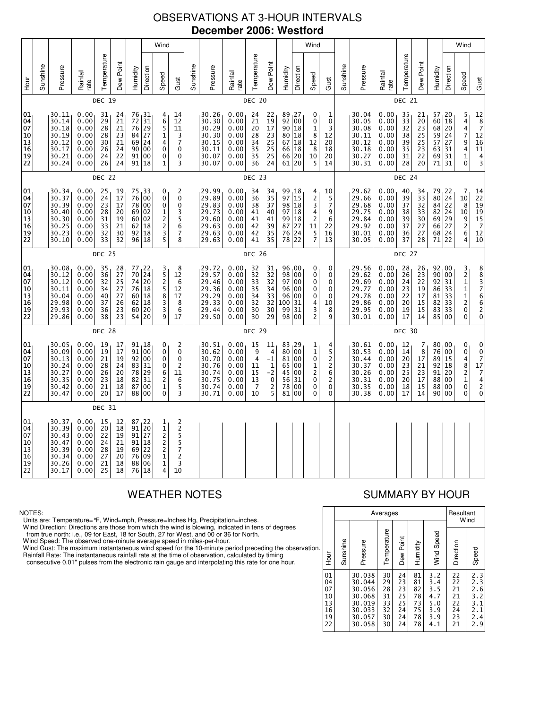# OBSERVATIONS AT 3-HOUR INTERVALS **December 2006: Westford**

|                                                           |          |                                                                      |                                                              |                                              |                                                           |                                  |                                                                              | Wind                                                                      |                                                             |          |                                                                      |                                                              |                                                           |                                                                           |                                                  |                                                                                               | Wind                                                                    |                                                       |               |                                                                      |                                                              |                                                           |                                                           |                                                     |                                                                        | Wind                                                                           |                                                                                                     |
|-----------------------------------------------------------|----------|----------------------------------------------------------------------|--------------------------------------------------------------|----------------------------------------------|-----------------------------------------------------------|----------------------------------|------------------------------------------------------------------------------|---------------------------------------------------------------------------|-------------------------------------------------------------|----------|----------------------------------------------------------------------|--------------------------------------------------------------|-----------------------------------------------------------|---------------------------------------------------------------------------|--------------------------------------------------|-----------------------------------------------------------------------------------------------|-------------------------------------------------------------------------|-------------------------------------------------------|---------------|----------------------------------------------------------------------|--------------------------------------------------------------|-----------------------------------------------------------|-----------------------------------------------------------|-----------------------------------------------------|------------------------------------------------------------------------|--------------------------------------------------------------------------------|-----------------------------------------------------------------------------------------------------|
| 군<br>오                                                    | Sunshine | Pressure                                                             | Rainfall<br>rate                                             | Temperature                                  | Dew Point                                                 | Humidity                         | Direction                                                                    | Speed                                                                     | Gust                                                        | Sunshine | Pressure                                                             | Rainfall<br>rate                                             | Temperature                                               | Dew Point                                                                 | Humidity                                         | Direction                                                                                     | Speed                                                                   | Gust                                                  | Sunshine      | Pressure                                                             | Rainfall<br>rate                                             | Temperature                                               | Dew Point                                                 | Humidity                                            | Direction                                                              | Speed                                                                          | Gust                                                                                                |
|                                                           |          |                                                                      |                                                              | <b>DEC 19</b>                                |                                                           |                                  |                                                                              |                                                                           |                                                             |          |                                                                      |                                                              | DEC 20                                                    |                                                                           |                                                  |                                                                                               |                                                                         |                                                       | <b>DEC 21</b> |                                                                      |                                                              |                                                           |                                                           |                                                     |                                                                        |                                                                                |                                                                                                     |
| 01<br>04<br>07<br>10<br>13<br>16<br>19<br>$\overline{2}2$ |          | 30.11<br>30.14<br>30.18<br>30.19<br>30.12<br>30.17<br>30.21<br>30.24 | 0.00<br>0.00<br>0.00<br>0.00<br>0.00<br>0.00<br>0.00<br>0.00 | 31<br>29<br>28<br>28<br>30<br>26<br>24<br>26 | 24<br>21<br>21<br>23<br>21<br>24<br>22<br>24              | 72<br>76<br>84<br>69<br>90       | 76, 31<br>31<br>29<br>27<br>24<br>00<br>91 00<br>91 18                       | 4<br>6<br>5<br>1<br>4<br>$\pmb{0}$<br>0<br>1                              | 14<br>12<br>11<br>3<br>$\overline{7}$<br>0<br>0<br>3        |          | 30.26<br>30.30<br>30.29<br>30.30<br>30.15<br>30.11<br>30.07<br>30.07 | 0.00<br>0.00<br>0.00<br>0.00<br>0.00<br>0.00<br>0.00<br>0.00 | 24<br>$\overline{21}$<br>20<br>28<br>34<br>35<br>35<br>36 | 22<br>19<br>17<br>23<br>25<br>25<br>25<br>24                              | 89, 27<br>92<br>90<br>80<br>67<br>66<br>66<br>61 | 00<br>18<br>18<br>18<br>18<br>$\left  \begin{smallmatrix} 20 \\ 20 \end{smallmatrix} \right $ | 0<br>0<br>$\mathbf{1}$<br>8<br>12<br>8<br>10<br>$\overline{\mathbf{5}}$ | 1<br>0<br>3<br>12<br>20<br>18<br>20<br>14             |               | 30.04<br>30.05<br>30.08<br>30.11<br>30.12<br>30.18<br>30.27<br>30.31 | 0.00<br>0.00<br>0.00<br>0.00<br>0.00<br>0.00<br>0.00<br>0.00 | 35<br>$\overline{33}$<br>32<br>38<br>39<br>35<br>31<br>28 | 21<br>20<br>23<br>25<br>25<br>23<br>22<br>20              | 57, 20<br>60 <br>68<br>59<br>57<br>63<br>69<br>71   | 18<br>20<br>24<br>27<br>31<br>31<br>31                                 | 5<br>4<br>4<br>$\overline{7}$<br>9<br>4<br>1<br>$\mathbf 0$                    | $\begin{array}{c} 12 \\ 8 \\ 7 \\ 12 \end{array}$<br>16<br>11<br>$\frac{4}{3}$                      |
|                                                           |          |                                                                      |                                                              | <b>DEC 22</b>                                |                                                           |                                  |                                                                              |                                                                           |                                                             |          |                                                                      |                                                              | <b>DEC 23</b>                                             |                                                                           |                                                  |                                                                                               |                                                                         |                                                       |               |                                                                      |                                                              | <b>DEC 24</b>                                             |                                                           |                                                     |                                                                        |                                                                                |                                                                                                     |
| 01<br>04<br>07<br>10<br>13<br>16<br>19<br>22              |          | 30.34<br>30.37<br>30.39<br>30.40<br>30.30<br>30.25<br>30.23<br>30.10 | 0.00<br>0.00<br>0.00<br>0.00<br>0.00<br>0.00<br>0.00<br>0.00 | 25<br>24<br>23<br>28<br>31<br>33<br>32<br>33 | 19<br>17<br>17<br>20<br>19<br>21<br>30<br>32              | 75<br>76<br>69<br>60<br>62<br>92 | 33 ا<br>00<br>78 00<br>02<br>02<br>18<br>18<br>96 18                         | 0<br>$\pmb{0}$<br>$\pmb{0}$<br>1<br>$\frac{2}{2}$<br>3<br>5               | 2<br>0<br>0<br>3<br>5<br>6<br>$\overline{7}$<br>8           |          | 29.99<br>29.89<br>29.83<br>29.73<br>29.60<br>29.63<br>29.63<br>29.63 | 0.00<br>0.00<br>0.00<br>0.00<br>0.00<br>0.00<br>0.00<br>0.00 | 34<br>36<br>38<br>41<br>41<br>42<br>42<br>41              | 34<br>35<br>37<br>40<br>41<br>39<br>35<br>35                              | 99<br>97<br>98<br>97<br>99<br>87<br>76<br>78     | 18 ر<br>15<br>18<br>18<br>18<br>$\frac{27}{24}$<br>22                                         | 4<br>$\frac{2}{3}$<br>4<br>2<br>11<br>5<br>$\overline{7}$               | 10<br>5<br>$\overline{7}$<br>9<br>6<br>22<br>16<br>13 |               | 29.62<br>29.66<br>29.68<br>29.75<br>29.84<br>29.92<br>30.01<br>30.05 | 0.00<br>0.00<br>0.00<br>0.00<br>0.00<br>0.00<br>0.00<br>0.00 | 40<br>39<br>37<br>38<br>39<br>37<br>36<br>37              | 34<br>33<br>32<br>33<br>30<br>27<br>27<br>28              | 79<br>80<br>84<br>82 <br>69<br>66<br>68 24<br>71    | $\begin{array}{c} 22 \\ 24 \end{array}$<br>22<br> 24<br>29<br>27<br>22 | 7<br>10<br>8<br>10<br>9<br>$\overline{\mathbf{c}}$<br>6<br>4                   | $\begin{array}{c} 14 \\ 22 \\ 19 \end{array}$<br>$19$<br>$15$<br>$7$<br>$12$<br>10                  |
|                                                           | DEC 25   |                                                                      |                                                              |                                              |                                                           |                                  |                                                                              | <b>DEC 26</b>                                                             |                                                             |          |                                                                      |                                                              |                                                           |                                                                           |                                                  |                                                                                               | DEC 27                                                                  |                                                       |               |                                                                      |                                                              |                                                           |                                                           |                                                     |                                                                        |                                                                                |                                                                                                     |
| 01<br>04<br>07<br>10<br>13<br>16<br>19<br>22              |          | 30.08<br>30.12<br>30.12<br>30.11<br>30.04<br>29.98<br>29.93<br>29.86 | 0.00<br>0.00<br>0.00<br>0.00<br>0.00<br>0.00<br>0.00<br>0.00 | 35<br>36<br>32<br>34<br>40<br>37<br>36<br>38 | 28<br>$\overline{27}$<br>25<br>27<br>27<br>26<br>23<br>23 | 77<br>70<br>74<br>76<br>62<br>60 | 22<br>$\overline{24}$<br>20<br>18<br>60 18<br>$\overline{18}$<br>20<br>54 20 | 3<br>5<br>2<br>5<br>8<br>3<br>3<br>9                                      | 8<br>12<br>6<br>12<br>17<br>8<br>6<br>17                    |          | 29.72<br>29.57<br>29.46<br>29.36<br>29.29<br>29.33<br>29.44<br>29.50 | 0.00<br>0.00<br>0.00<br>0.00<br>0.00<br>0.00<br>0.00<br>0.00 | 32<br>$\overline{32}$<br>33<br>35<br>34<br>32<br>30<br>30 | 31<br>$\overline{32}$<br>32<br>34<br>33<br>32<br>30<br>29                 | 96,00<br>98<br>97<br>96<br>96<br>100<br>99<br>98 | 00<br>00<br>00<br>00<br>31<br>31<br>00                                                        | 0<br>0<br>0<br>0<br>0<br>4<br>$\frac{3}{2}$                             | 0<br>0<br>0<br>0<br>0<br>10<br>8<br>9                 |               | 29.56<br>29.62<br>29.69<br>29.77<br>29.78<br>29.86<br>29.95<br>30.01 | 0.00<br>0.00<br>0.00<br>0.00<br>0.00<br>0.00<br>0.00<br>0.00 | 28<br>26<br>24<br>23<br>22<br>20<br>19<br>17              | 26<br>$\overline{2}3$<br>22<br>19<br>17<br>15<br>15<br>14 | 92,00<br>90<br>92 <br>86<br>81<br>82<br>83<br>85 00 | 00<br>31<br>33<br>33<br>33<br>33                                       | 3<br>$\overline{2}$<br>$\mathbf{1}$<br>$\mathbf{1}$<br>$\frac{1}{2}$<br>0<br>0 | 88376620                                                                                            |
|                                                           |          |                                                                      |                                                              | <b>DEC 28</b>                                |                                                           |                                  |                                                                              |                                                                           |                                                             |          |                                                                      |                                                              | <b>DEC 29</b>                                             |                                                                           |                                                  |                                                                                               |                                                                         |                                                       |               |                                                                      |                                                              | <b>DEC 30</b>                                             |                                                           |                                                     |                                                                        |                                                                                |                                                                                                     |
| 01<br>04<br>07<br>10<br>13<br>16<br>19<br>22              |          | 30.05<br>30.09<br>30.13<br>30.24<br>30.27<br>30.35<br>30.42<br>30.47 | 0.00<br>0.00<br>0.00<br>0.00<br>0.00<br>0.00<br>0.00<br>0.00 | 19<br>19<br>21<br>28<br>26<br>23<br>21<br>20 | 17<br>17<br>19<br>24<br>20<br>18<br>18<br>17              | 91<br>83<br>78<br>82<br>87<br>88 | 91, 18<br>00<br>92 00<br>31<br>29<br>31<br>00<br>00                          | 0<br>0<br>0<br>0<br>6<br>2<br>1<br>0                                      | 2<br>0<br>0<br>$\overline{\mathbf{c}}$<br>11<br>6<br>5<br>3 |          | 30.51<br>30.62<br>30.70<br>30.76<br>30.74<br>30.75<br>30.74<br>30.71 | 0.00<br>0.00<br>0.00<br>0.00<br>0.00<br>0.00<br>0.00<br>0.00 | 15<br>9<br>$\overline{4}$<br>11<br>15<br>13<br>7<br>10    | 11<br>$\frac{4}{-1}$<br>$\frac{1}{2}$<br>$\pmb{0}$<br>$\overline{2}$<br>5 | 83, 29<br>80<br>81<br>65<br>45<br>56<br>78<br>81 | 00<br>00<br>00<br>00<br>31<br>00<br>00                                                        | 1<br>$\mathbf 1$<br>0<br>1<br>$\overline{c}$<br>0<br>0<br>0             | 4<br>5<br>2<br>$\overline{2}$<br>6<br>2<br>0<br>0     |               | 30.61<br>30.53<br>30.44<br>30.37<br>30.26<br>30.31<br>30.35<br>30.38 | 0.00<br>0.00<br>0.00<br>0.00<br>0.00<br>0.00<br>0.00<br>0.00 | 12<br>14<br>20<br>23<br>25<br>20<br>18<br>17              | 7<br>8<br>17<br>21<br>23<br>17<br>15<br>14                | 80,00<br>76<br>89<br>92<br>91<br>88<br>88<br>90     | 00<br>15<br>18<br>20<br>00<br>00<br>00                                 | 0<br>0<br>4<br>8<br>$\overline{2}$<br>$\mathbf 1$<br>0<br>0                    | $\begin{array}{c} 0 \\ 0 \\ 7 \end{array}$<br>$\begin{array}{c} 17 \\ 7 \\ 4 \\ 2 \end{array}$<br>0 |
|                                                           |          |                                                                      |                                                              | <b>DEC 31</b>                                |                                                           |                                  |                                                                              |                                                                           |                                                             |          |                                                                      |                                                              |                                                           |                                                                           |                                                  |                                                                                               |                                                                         |                                                       |               |                                                                      |                                                              |                                                           |                                                           |                                                     |                                                                        |                                                                                |                                                                                                     |
| 01<br>04<br>07<br>10<br>13<br>16<br>19<br>22              |          | 30.37<br>30.39<br>30.43<br>30.47<br>30.39<br>30.34<br>30.26<br>30.17 | 0.00<br>0.00<br>0.00<br>0.00<br>0.00<br>0.00<br>0.00<br>0.00 | 15<br>20<br>22<br>24<br>28<br>27<br>21<br>25 | 12<br>18<br>19<br>21<br>19<br>20<br>18<br>18              | 87<br>91 27<br>76<br>88<br>76    | 22<br>$91$ 20<br>91 18<br>69 22<br>09<br>06<br>18                            | $\frac{1}{1}$<br>$\frac{2}{2}$<br>$\overline{c}$<br>$\mathbf 1$<br>1<br>4 | 22557<br>$\overline{c}$<br>3<br>10                          |          |                                                                      |                                                              |                                                           |                                                                           |                                                  |                                                                                               |                                                                         |                                                       |               |                                                                      |                                                              |                                                           |                                                           |                                                     |                                                                        |                                                                                |                                                                                                     |

### NOTES:

Units are: Temperature=°F, Wind=mph, Pressure=Inches Hg, Precipitation=inches.

Wind Direction: Directions are those from which the wind is blowing, indicated in tens of degrees<br>from true north: i.e., 09 for East, 18 for South, 27 for West, and 00 or 36 for North.<br>Wind Speed: The observed one-minute a

Wind Gust: The maximum instantaneous wind speed for the 10-minute period preceding the observation Rainfall Rate: The instantaneous rainfall rate at the time of observation, calculated by timing

consecutive 0.01" pulses from the electronic rain gauge and interpolating this rate for one hour.

# WEATHER NOTES SUMMARY BY HOUR

|    |                                              |          | Averages                                                                     | Resultant<br>Wind                            |                                              |                                              |                                                      |                                              |                                                      |
|----|----------------------------------------------|----------|------------------------------------------------------------------------------|----------------------------------------------|----------------------------------------------|----------------------------------------------|------------------------------------------------------|----------------------------------------------|------------------------------------------------------|
| n. | Hour                                         | Sunshine | Pressure                                                                     | Temperature                                  | Dew Point                                    | Humidity                                     | Wind Speed                                           | Direction                                    | Speed                                                |
|    | 01<br>04<br>07<br>10<br>13<br>16<br>19<br>22 |          | 30.038<br>30.044<br>30.056<br>30.068<br>30.019<br>30.033<br>30.057<br>30.058 | 30<br>29<br>28<br>31<br>33<br>32<br>30<br>30 | 24<br>23<br>23<br>25<br>25<br>24<br>24<br>24 | 81<br>81<br>82<br>78<br>73<br>75<br>78<br>78 | 3.2<br>3.4<br>3.5<br>4.7<br>5.0<br>3.9<br>3.9<br>4.1 | 22<br>22<br>21<br>21<br>22<br>24<br>23<br>21 | 2.3<br>2.3<br>2.6<br>3.2<br>3.1<br>2.1<br>2.4<br>2.9 |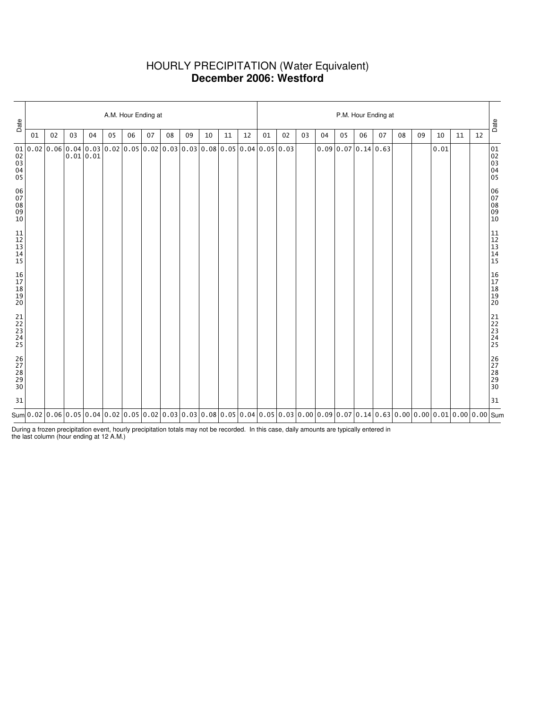# HOURLY PRECIPITATION (Water Equivalent) **December 2006: Westford**

| Date                             |                                                                                                                                                                                                                                                                                                                                                       | A.M. Hour Ending at |    |           |    |    |    |    |    |    |    |    |    |    |    | P.M. Hour Ending at |                                      |    |    |    |    |      |    |    |                                  |  |  |  |
|----------------------------------|-------------------------------------------------------------------------------------------------------------------------------------------------------------------------------------------------------------------------------------------------------------------------------------------------------------------------------------------------------|---------------------|----|-----------|----|----|----|----|----|----|----|----|----|----|----|---------------------|--------------------------------------|----|----|----|----|------|----|----|----------------------------------|--|--|--|
|                                  | 01                                                                                                                                                                                                                                                                                                                                                    | 02                  | 03 | 04        | 05 | 06 | 07 | 08 | 09 | 10 | 11 | 12 | 01 | 02 | 03 | 04                  | 05                                   | 06 | 07 | 08 | 09 | 10   | 11 | 12 | Date                             |  |  |  |
| $\frac{0}{03}$<br>03<br>04<br>05 | $0.02 0.02 0.06 0.04 0.03 0.02 0.05 0.02 0.03 0.03 0.08 0.05 0.04 0.05 0.03$                                                                                                                                                                                                                                                                          |                     |    | 0.01 0.01 |    |    |    |    |    |    |    |    |    |    |    |                     | $0.09 \mid 0.07 \mid 0.14 \mid 0.63$ |    |    |    |    | 0.01 |    |    | 01<br>02<br>03<br>04<br>04<br>05 |  |  |  |
| 06<br>07<br>08<br>09<br>10       |                                                                                                                                                                                                                                                                                                                                                       |                     |    |           |    |    |    |    |    |    |    |    |    |    |    |                     |                                      |    |    |    |    |      |    |    | 06<br>07<br>08<br>09<br>09<br>10 |  |  |  |
| 11<br>12<br>13<br>14<br>15       |                                                                                                                                                                                                                                                                                                                                                       |                     |    |           |    |    |    |    |    |    |    |    |    |    |    |                     |                                      |    |    |    |    |      |    |    | 11<br>12<br>13<br>14<br>15       |  |  |  |
| 16<br>17<br>18<br>19<br>19<br>20 |                                                                                                                                                                                                                                                                                                                                                       |                     |    |           |    |    |    |    |    |    |    |    |    |    |    |                     |                                      |    |    |    |    |      |    |    | 16<br>17<br>18<br>19<br>19<br>20 |  |  |  |
| 21<br>22<br>23<br>24<br>24<br>25 |                                                                                                                                                                                                                                                                                                                                                       |                     |    |           |    |    |    |    |    |    |    |    |    |    |    |                     |                                      |    |    |    |    |      |    |    | 21<br>22<br>23<br>24<br>24<br>25 |  |  |  |
| 26<br>27<br>28<br>29<br>30       |                                                                                                                                                                                                                                                                                                                                                       |                     |    |           |    |    |    |    |    |    |    |    |    |    |    |                     |                                      |    |    |    |    |      |    |    | 26<br>27<br>28<br>29<br>29<br>30 |  |  |  |
| 31                               |                                                                                                                                                                                                                                                                                                                                                       |                     |    |           |    |    |    |    |    |    |    |    |    |    |    |                     |                                      |    |    |    |    |      |    |    | 31                               |  |  |  |
|                                  | Sum $\vert$ 0.02 $\vert$ 0.06 $\vert$ 0.05 $\vert$ 0.05 $\vert$ 0.04 $\vert$ 0.02 $\vert$ 0.05 $\vert$ 0.05 $\vert$ 0.03 $\vert$ 0.03 $\vert$ 0.06 $\vert$ 0.06 $\vert$ 0.06 $\vert$ 0.07 $\vert$ 0.07 $\vert$ 0.14 $\vert$ 0.63 $\vert$ 0.00 $\vert$ 0.00 $\vert$ 0.00 $\vert$ 0.01 $\vert$ 0.00 $\vert$ 0.00 $\vert$ 0.00 $\vert$ 0.00 $\vert$ 0.00 |                     |    |           |    |    |    |    |    |    |    |    |    |    |    |                     |                                      |    |    |    |    |      |    |    |                                  |  |  |  |

During a frozen precipitation event, hourly precipitation totals may not be recorded. In this case, daily amounts are typically entered in the last column (hour ending at 12 A.M.)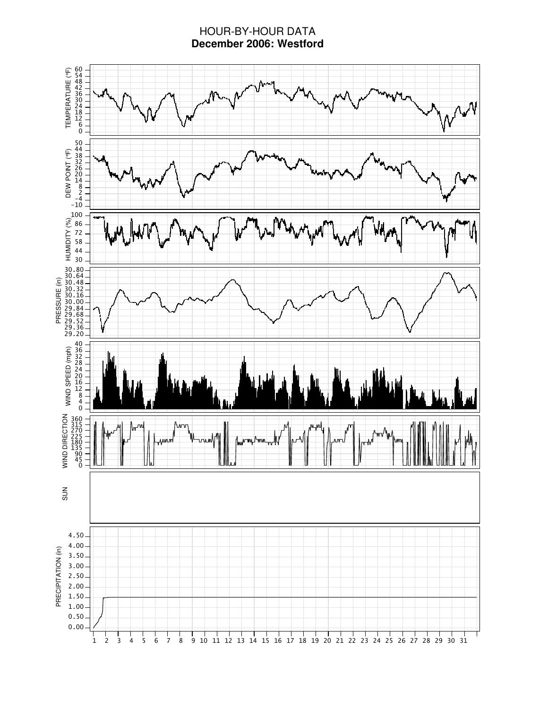# HOUR-BY-HOUR DATA **December 2006: Westford**